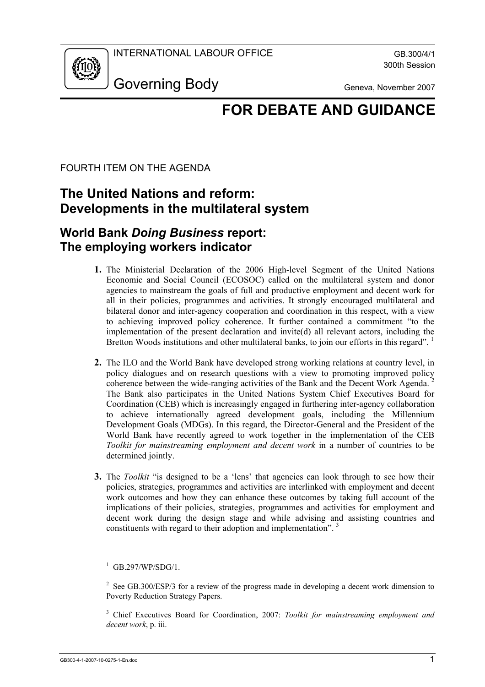

# **FOR DEBATE AND GUIDANCE**

FOURTH ITEM ON THE AGENDA

# **The United Nations and reform: Developments in the multilateral system**

# **World Bank** *Doing Business* **report: The employing workers indicator**

- **1.** The Ministerial Declaration of the 2006 High-level Segment of the United Nations Economic and Social Council (ECOSOC) called on the multilateral system and donor agencies to mainstream the goals of full and productive employment and decent work for all in their policies, programmes and activities. It strongly encouraged multilateral and bilateral donor and inter-agency cooperation and coordination in this respect, with a view to achieving improved policy coherence. It further contained a commitment "to the implementation of the present declaration and invite(d) all relevant actors, including the Bretton Woods institutions and other multilateral banks, to join our efforts in this regard". <sup>1</sup>
- **2.** The ILO and the World Bank have developed strong working relations at country level, in policy dialogues and on research questions with a view to promoting improved policy coherence between the wide-ranging activities of the Bank and the Decent Work Agenda. 2 The Bank also participates in the United Nations System Chief Executives Board for Coordination (CEB) which is increasingly engaged in furthering inter-agency collaboration to achieve internationally agreed development goals, including the Millennium Development Goals (MDGs). In this regard, the Director-General and the President of the World Bank have recently agreed to work together in the implementation of the CEB *Toolkit for mainstreaming employment and decent work* in a number of countries to be determined jointly.
- **3.** The *Toolkit* "is designed to be a 'lens' that agencies can look through to see how their policies, strategies, programmes and activities are interlinked with employment and decent work outcomes and how they can enhance these outcomes by taking full account of the implications of their policies, strategies, programmes and activities for employment and decent work during the design stage and while advising and assisting countries and constituents with regard to their adoption and implementation".<sup>3</sup>

<sup>1</sup> GB.297/WP/SDG/1.

<sup>2</sup> See GB.300/ESP/3 for a review of the progress made in developing a decent work dimension to Poverty Reduction Strategy Papers.

3 Chief Executives Board for Coordination, 2007: *Toolkit for mainstreaming employment and decent work*, p. iii.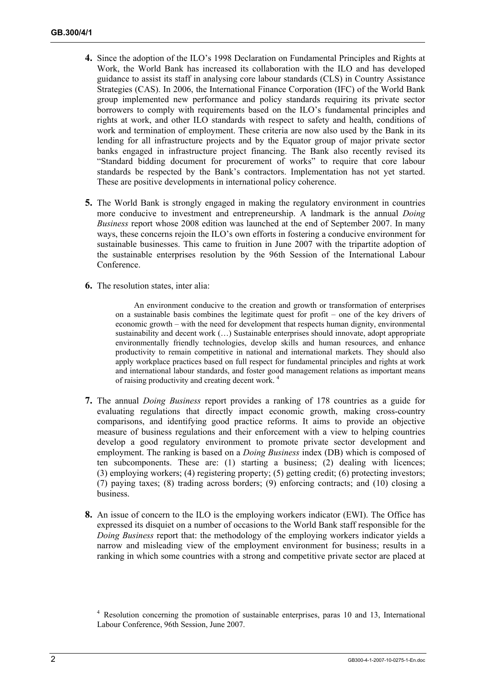- **4.** Since the adoption of the ILO's 1998 Declaration on Fundamental Principles and Rights at Work, the World Bank has increased its collaboration with the ILO and has developed guidance to assist its staff in analysing core labour standards (CLS) in Country Assistance Strategies (CAS). In 2006, the International Finance Corporation (IFC) of the World Bank group implemented new performance and policy standards requiring its private sector borrowers to comply with requirements based on the ILO's fundamental principles and rights at work, and other ILO standards with respect to safety and health, conditions of work and termination of employment. These criteria are now also used by the Bank in its lending for all infrastructure projects and by the Equator group of major private sector banks engaged in infrastructure project financing. The Bank also recently revised its "Standard bidding document for procurement of works" to require that core labour standards be respected by the Bank's contractors. Implementation has not yet started. These are positive developments in international policy coherence.
- **5.** The World Bank is strongly engaged in making the regulatory environment in countries more conducive to investment and entrepreneurship. A landmark is the annual *Doing Business* report whose 2008 edition was launched at the end of September 2007. In many ways, these concerns rejoin the ILO's own efforts in fostering a conducive environment for sustainable businesses. This came to fruition in June 2007 with the tripartite adoption of the sustainable enterprises resolution by the 96th Session of the International Labour Conference.
- **6.** The resolution states, inter alia:

An environment conducive to the creation and growth or transformation of enterprises on a sustainable basis combines the legitimate quest for profit – one of the key drivers of economic growth – with the need for development that respects human dignity, environmental sustainability and decent work (…) Sustainable enterprises should innovate, adopt appropriate environmentally friendly technologies, develop skills and human resources, and enhance productivity to remain competitive in national and international markets. They should also apply workplace practices based on full respect for fundamental principles and rights at work and international labour standards, and foster good management relations as important means of raising productivity and creating decent work. 4

- **7.** The annual *Doing Business* report provides a ranking of 178 countries as a guide for evaluating regulations that directly impact economic growth, making cross-country comparisons, and identifying good practice reforms. It aims to provide an objective measure of business regulations and their enforcement with a view to helping countries develop a good regulatory environment to promote private sector development and employment. The ranking is based on a *Doing Business* index (DB) which is composed of ten subcomponents. These are: (1) starting a business; (2) dealing with licences; (3) employing workers; (4) registering property; (5) getting credit; (6) protecting investors; (7) paying taxes; (8) trading across borders; (9) enforcing contracts; and (10) closing a business.
- **8.** An issue of concern to the ILO is the employing workers indicator (EWI). The Office has expressed its disquiet on a number of occasions to the World Bank staff responsible for the *Doing Business* report that: the methodology of the employing workers indicator yields a narrow and misleading view of the employment environment for business; results in a ranking in which some countries with a strong and competitive private sector are placed at

<sup>&</sup>lt;sup>4</sup> Resolution concerning the promotion of sustainable enterprises, paras 10 and 13, International Labour Conference, 96th Session, June 2007.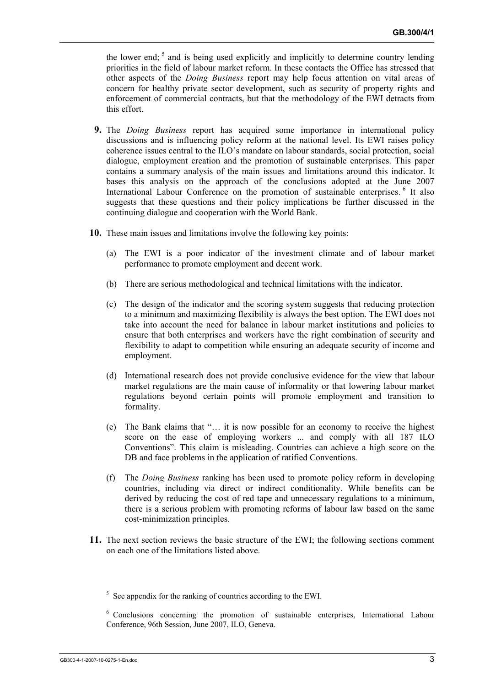the lower end;  $5$  and is being used explicitly and implicitly to determine country lending priorities in the field of labour market reform. In these contacts the Office has stressed that other aspects of the *Doing Business* report may help focus attention on vital areas of concern for healthy private sector development, such as security of property rights and enforcement of commercial contracts, but that the methodology of the EWI detracts from this effort.

- **9.** The *Doing Business* report has acquired some importance in international policy discussions and is influencing policy reform at the national level. Its EWI raises policy coherence issues central to the ILO's mandate on labour standards, social protection, social dialogue, employment creation and the promotion of sustainable enterprises. This paper contains a summary analysis of the main issues and limitations around this indicator. It bases this analysis on the approach of the conclusions adopted at the June 2007 International Labour Conference on the promotion of sustainable enterprises.<sup>6</sup> It also suggests that these questions and their policy implications be further discussed in the continuing dialogue and cooperation with the World Bank.
- **10.** These main issues and limitations involve the following key points:
	- (a) The EWI is a poor indicator of the investment climate and of labour market performance to promote employment and decent work.
	- (b) There are serious methodological and technical limitations with the indicator.
	- (c) The design of the indicator and the scoring system suggests that reducing protection to a minimum and maximizing flexibility is always the best option. The EWI does not take into account the need for balance in labour market institutions and policies to ensure that both enterprises and workers have the right combination of security and flexibility to adapt to competition while ensuring an adequate security of income and employment.
	- (d) International research does not provide conclusive evidence for the view that labour market regulations are the main cause of informality or that lowering labour market regulations beyond certain points will promote employment and transition to formality.
	- (e) The Bank claims that "… it is now possible for an economy to receive the highest score on the ease of employing workers ... and comply with all 187 ILO Conventions". This claim is misleading. Countries can achieve a high score on the DB and face problems in the application of ratified Conventions.
	- (f) The *Doing Business* ranking has been used to promote policy reform in developing countries, including via direct or indirect conditionality. While benefits can be derived by reducing the cost of red tape and unnecessary regulations to a minimum, there is a serious problem with promoting reforms of labour law based on the same cost-minimization principles.
- **11.** The next section reviews the basic structure of the EWI; the following sections comment on each one of the limitations listed above.

<sup>&</sup>lt;sup>5</sup> See appendix for the ranking of countries according to the EWI.

<sup>&</sup>lt;sup>6</sup> Conclusions concerning the promotion of sustainable enterprises, International Labour Conference, 96th Session, June 2007, ILO, Geneva.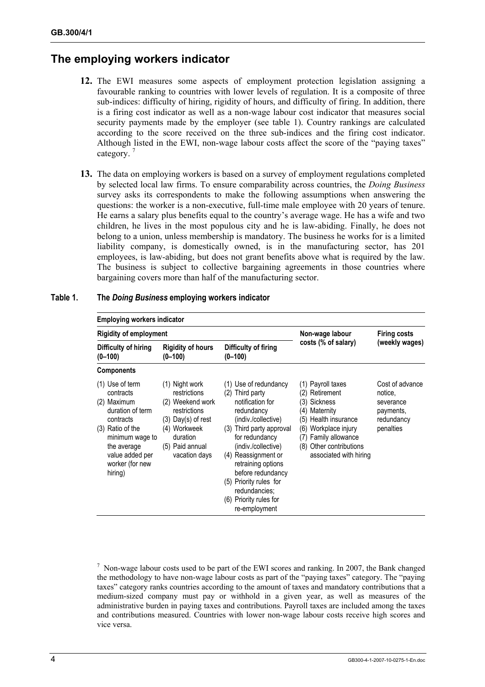### **The employing workers indicator**

- **12.** The EWI measures some aspects of employment protection legislation assigning a favourable ranking to countries with lower levels of regulation. It is a composite of three sub-indices: difficulty of hiring, rigidity of hours, and difficulty of firing. In addition, there is a firing cost indicator as well as a non-wage labour cost indicator that measures social security payments made by the employer (see table 1). Country rankings are calculated according to the score received on the three sub-indices and the firing cost indicator. Although listed in the EWI, non-wage labour costs affect the score of the "paying taxes" category.<sup>7</sup>
- **13.** The data on employing workers is based on a survey of employment regulations completed by selected local law firms. To ensure comparability across countries, the *Doing Business* survey asks its correspondents to make the following assumptions when answering the questions: the worker is a non-executive, full-time male employee with 20 years of tenure. He earns a salary plus benefits equal to the country's average wage. He has a wife and two children, he lives in the most populous city and he is law-abiding. Finally, he does not belong to a union, unless membership is mandatory. The business he works for is a limited liability company, is domestically owned, is in the manufacturing sector, has 201 employees, is law-abiding, but does not grant benefits above what is required by the law. The business is subject to collective bargaining agreements in those countries where bargaining covers more than half of the manufacturing sector.

| <b>Employing workers indicator</b>                                                                                                                                                  |                                                                                                                                                          |                                                                                                                                                                                                                                                                                                                                            |                                                                                                                                                                                                                        |                                                                                 |  |  |  |  |
|-------------------------------------------------------------------------------------------------------------------------------------------------------------------------------------|----------------------------------------------------------------------------------------------------------------------------------------------------------|--------------------------------------------------------------------------------------------------------------------------------------------------------------------------------------------------------------------------------------------------------------------------------------------------------------------------------------------|------------------------------------------------------------------------------------------------------------------------------------------------------------------------------------------------------------------------|---------------------------------------------------------------------------------|--|--|--|--|
| <b>Rigidity of employment</b>                                                                                                                                                       |                                                                                                                                                          | Non-wage labour                                                                                                                                                                                                                                                                                                                            | <b>Firing costs</b>                                                                                                                                                                                                    |                                                                                 |  |  |  |  |
| Difficulty of hiring<br><b>Rigidity of hours</b><br>$(0 - 100)$<br>$(0 - 100)$                                                                                                      |                                                                                                                                                          | Difficulty of firing<br>$(0 - 100)$                                                                                                                                                                                                                                                                                                        | costs (% of salary)                                                                                                                                                                                                    | (weekly wages)                                                                  |  |  |  |  |
| <b>Components</b>                                                                                                                                                                   |                                                                                                                                                          |                                                                                                                                                                                                                                                                                                                                            |                                                                                                                                                                                                                        |                                                                                 |  |  |  |  |
| (1) Use of term<br>contracts<br>(2) Maximum<br>duration of term<br>contracts<br>(3) Ratio of the<br>minimum wage to<br>the average<br>value added per<br>worker (for new<br>hiring) | (1) Night work<br>restrictions<br>(2) Weekend work<br>restrictions<br>(3) Day(s) of rest<br>(4) Workweek<br>duration<br>(5) Paid annual<br>vacation days | (1) Use of redundancy<br>Third party<br>(2)<br>notification for<br>redundancy<br>(indiv./collective)<br>Third party approval<br>(3)<br>for redundancy<br>(indiv./collective)<br>Reassignment or<br>(4)<br>retraining options<br>before redundancy<br>(5) Priority rules for<br>redundancies:<br>Priority rules for<br>(6)<br>re-employment | Payroll taxes<br>(1)<br>Retirement<br>(2)<br>(3) Sickness<br>Maternity<br>(4)<br>Health insurance<br>(5)<br>Workplace injury<br>(6)<br>Family allowance<br>(7)<br>Other contributions<br>(8)<br>associated with hiring | Cost of advance<br>notice,<br>severance<br>payments,<br>redundancy<br>penalties |  |  |  |  |

#### **Table 1. The** *Doing Business* **employing workers indicator**

 $<sup>7</sup>$  Non-wage labour costs used to be part of the EWI scores and ranking. In 2007, the Bank changed</sup> the methodology to have non-wage labour costs as part of the "paying taxes" category. The "paying taxes" category ranks countries according to the amount of taxes and mandatory contributions that a medium-sized company must pay or withhold in a given year, as well as measures of the administrative burden in paying taxes and contributions. Payroll taxes are included among the taxes and contributions measured. Countries with lower non-wage labour costs receive high scores and vice versa.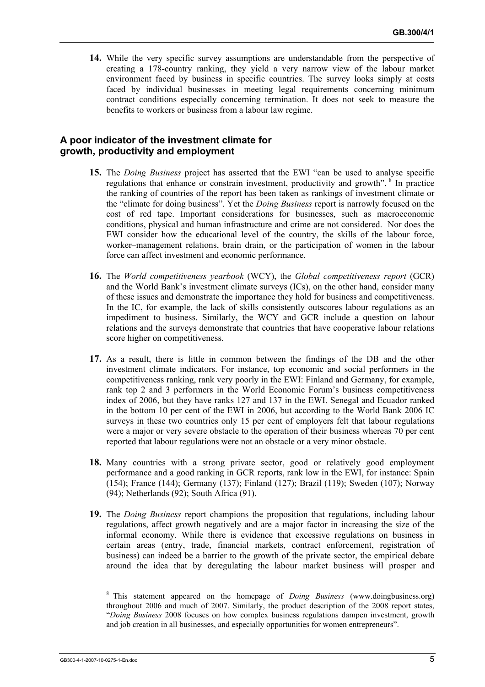**14.** While the very specific survey assumptions are understandable from the perspective of creating a 178-country ranking, they yield a very narrow view of the labour market environment faced by business in specific countries. The survey looks simply at costs faced by individual businesses in meeting legal requirements concerning minimum contract conditions especially concerning termination. It does not seek to measure the benefits to workers or business from a labour law regime.

#### **A poor indicator of the investment climate for growth, productivity and employment**

- **15.** The *Doing Business* project has asserted that the EWI "can be used to analyse specific regulations that enhance or constrain investment, productivity and growth".  $8^{\circ}$  In practice the ranking of countries of the report has been taken as rankings of investment climate or the "climate for doing business". Yet the *Doing Business* report is narrowly focused on the cost of red tape. Important considerations for businesses, such as macroeconomic conditions, physical and human infrastructure and crime are not considered. Nor does the EWI consider how the educational level of the country, the skills of the labour force, worker–management relations, brain drain, or the participation of women in the labour force can affect investment and economic performance.
- **16.** The *World competitiveness yearbook* (WCY), the *Global competitiveness report* (GCR) and the World Bank's investment climate surveys (ICs), on the other hand, consider many of these issues and demonstrate the importance they hold for business and competitiveness. In the IC, for example, the lack of skills consistently outscores labour regulations as an impediment to business. Similarly, the WCY and GCR include a question on labour relations and the surveys demonstrate that countries that have cooperative labour relations score higher on competitiveness.
- **17.** As a result, there is little in common between the findings of the DB and the other investment climate indicators. For instance, top economic and social performers in the competitiveness ranking, rank very poorly in the EWI: Finland and Germany, for example, rank top 2 and 3 performers in the World Economic Forum's business competitiveness index of 2006, but they have ranks 127 and 137 in the EWI. Senegal and Ecuador ranked in the bottom 10 per cent of the EWI in 2006, but according to the World Bank 2006 IC surveys in these two countries only 15 per cent of employers felt that labour regulations were a major or very severe obstacle to the operation of their business whereas 70 per cent reported that labour regulations were not an obstacle or a very minor obstacle.
- **18.** Many countries with a strong private sector, good or relatively good employment performance and a good ranking in GCR reports, rank low in the EWI, for instance: Spain (154); France (144); Germany (137); Finland (127); Brazil (119); Sweden (107); Norway (94); Netherlands (92); South Africa (91).
- **19.** The *Doing Business* report champions the proposition that regulations, including labour regulations, affect growth negatively and are a major factor in increasing the size of the informal economy. While there is evidence that excessive regulations on business in certain areas (entry, trade, financial markets, contract enforcement, registration of business) can indeed be a barrier to the growth of the private sector, the empirical debate around the idea that by deregulating the labour market business will prosper and

<sup>8</sup> This statement appeared on the homepage of *Doing Business* (www.doingbusiness.org) throughout 2006 and much of 2007. Similarly, the product description of the 2008 report states, "*Doing Business* 2008 focuses on how complex business regulations dampen investment, growth and job creation in all businesses, and especially opportunities for women entrepreneurs".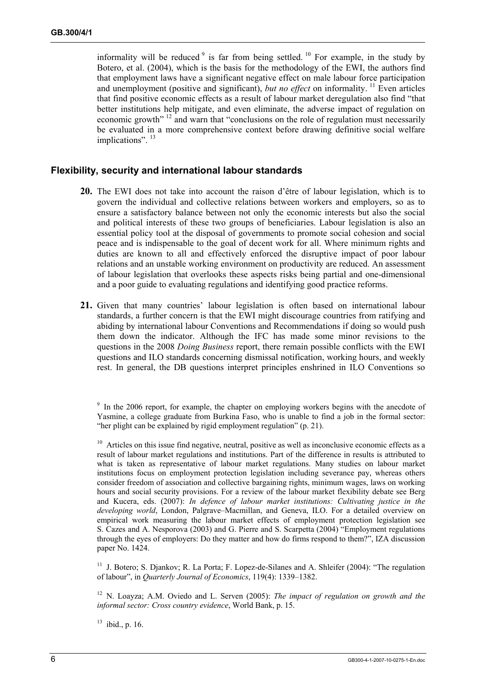informality will be reduced  $9$  is far from being settled. <sup>10</sup> For example, in the study by Botero, et al. (2004), which is the basis for the methodology of the EWI, the authors find that employment laws have a significant negative effect on male labour force participation and unemployment (positive and significant), *but no effect* on informality. <sup>11</sup> Even articles that find positive economic effects as a result of labour market deregulation also find "that better institutions help mitigate, and even eliminate, the adverse impact of regulation on economic growth" 12 and warn that "conclusions on the role of regulation must necessarily be evaluated in a more comprehensive context before drawing definitive social welfare implications". <sup>13</sup>

#### **Flexibility, security and international labour standards**

- **20.** The EWI does not take into account the raison d'être of labour legislation, which is to govern the individual and collective relations between workers and employers, so as to ensure a satisfactory balance between not only the economic interests but also the social and political interests of these two groups of beneficiaries. Labour legislation is also an essential policy tool at the disposal of governments to promote social cohesion and social peace and is indispensable to the goal of decent work for all. Where minimum rights and duties are known to all and effectively enforced the disruptive impact of poor labour relations and an unstable working environment on productivity are reduced. An assessment of labour legislation that overlooks these aspects risks being partial and one-dimensional and a poor guide to evaluating regulations and identifying good practice reforms.
- **21.** Given that many countries' labour legislation is often based on international labour standards, a further concern is that the EWI might discourage countries from ratifying and abiding by international labour Conventions and Recommendations if doing so would push them down the indicator. Although the IFC has made some minor revisions to the questions in the 2008 *Doing Business* report, there remain possible conflicts with the EWI questions and ILO standards concerning dismissal notification, working hours, and weekly rest. In general, the DB questions interpret principles enshrined in ILO Conventions so

<sup>11</sup> J. Botero; S. Djankov; R. La Porta; F. Lopez-de-Silanes and A. Shleifer (2004): "The regulation of labour", in *Quarterly Journal of Economics*, 119(4): 1339–1382.

12 N. Loayza; A.M. Oviedo and L. Serven (2005): *The impact of regulation on growth and the informal sector: Cross country evidence*, World Bank, p. 15.

 $13$  ibid., p. 16.

<sup>&</sup>lt;sup>9</sup> In the 2006 report, for example, the chapter on employing workers begins with the anecdote of Yasmine, a college graduate from Burkina Faso, who is unable to find a job in the formal sector: "her plight can be explained by rigid employment regulation" (p. 21).

 $10$  Articles on this issue find negative, neutral, positive as well as inconclusive economic effects as a result of labour market regulations and institutions. Part of the difference in results is attributed to what is taken as representative of labour market regulations. Many studies on labour market institutions focus on employment protection legislation including severance pay, whereas others consider freedom of association and collective bargaining rights, minimum wages, laws on working hours and social security provisions. For a review of the labour market flexibility debate see Berg and Kucera, eds. (2007): *In defence of labour market institutions: Cultivating justice in the developing world*, London, Palgrave–Macmillan, and Geneva, ILO. For a detailed overview on empirical work measuring the labour market effects of employment protection legislation see S. Cazes and A. Nesporova (2003) and G. Pierre and S. Scarpetta (2004) "Employment regulations through the eyes of employers: Do they matter and how do firms respond to them?", IZA discussion paper No. 1424.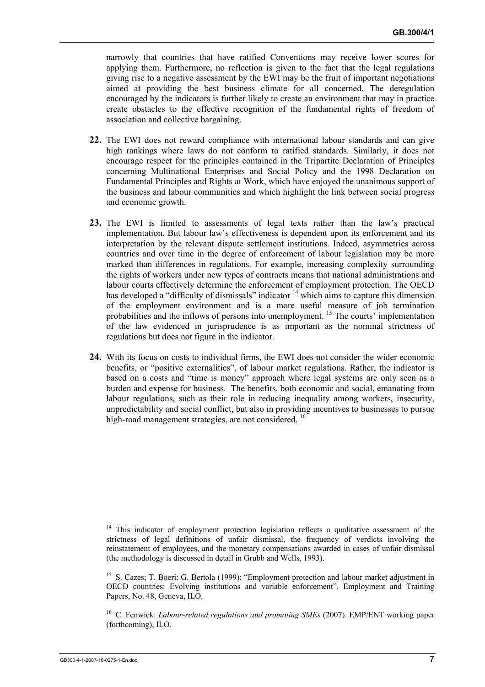narrowly that countries that have ratified Conventions may receive lower scores for applying them. Furthermore, no reflection is given to the fact that the legal regulations giving rise to a negative assessment by the EWI may be the fruit of important negotiations aimed at providing the best business climate for all concerned. The deregulation encouraged by the indicators is further likely to create an environment that may in practice create obstacles to the effective recognition of the fundamental rights of freedom of association and collective bargaining.

- **22.** The EWI does not reward compliance with international labour standards and can give high rankings where laws do not conform to ratified standards. Similarly, it does not encourage respect for the principles contained in the Tripartite Declaration of Principles concerning Multinational Enterprises and Social Policy and the 1998 Declaration on Fundamental Principles and Rights at Work, which have enjoyed the unanimous support of the business and labour communities and which highlight the link between social progress and economic growth.
- **23.** The EWI is limited to assessments of legal texts rather than the law's practical implementation. But labour law's effectiveness is dependent upon its enforcement and its interpretation by the relevant dispute settlement institutions. Indeed, asymmetries across countries and over time in the degree of enforcement of labour legislation may be more marked than differences in regulations. For example, increasing complexity surrounding the rights of workers under new types of contracts means that national administrations and labour courts effectively determine the enforcement of employment protection. The OECD has developed a "difficulty of dismissals" indicator <sup>14</sup> which aims to capture this dimension of the employment environment and is a more useful measure of job termination probabilities and the inflows of persons into unemployment. 15 The courts' implementation of the law evidenced in jurisprudence is as important as the nominal strictness of regulations but does not figure in the indicator.
- **24.** With its focus on costs to individual firms, the EWI does not consider the wider economic benefits, or "positive externalities", of labour market regulations. Rather, the indicator is based on a costs and "time is money" approach where legal systems are only seen as a burden and expense for business. The benefits, both economic and social, emanating from labour regulations, such as their role in reducing inequality among workers, insecurity, unpredictability and social conflict, but also in providing incentives to businesses to pursue high-road management strategies, are not considered.<sup>16</sup>

16 C. Fenwick: *Labour-related regulations and promoting SMEs* (2007). EMP/ENT working paper (forthcoming), ILO.

 $14$  This indicator of employment protection legislation reflects a qualitative assessment of the strictness of legal definitions of unfair dismissal, the frequency of verdicts involving the reinstatement of employees, and the monetary compensations awarded in cases of unfair dismissal (the methodology is discussed in detail in Grubb and Wells, 1993).

<sup>&</sup>lt;sup>15</sup> S. Cazes: T. Boeri; G. Bertola (1999): "Employment protection and labour market adjustment in OECD countries: Evolving institutions and variable enforcement", Employment and Training Papers, No. 48, Geneva, ILO.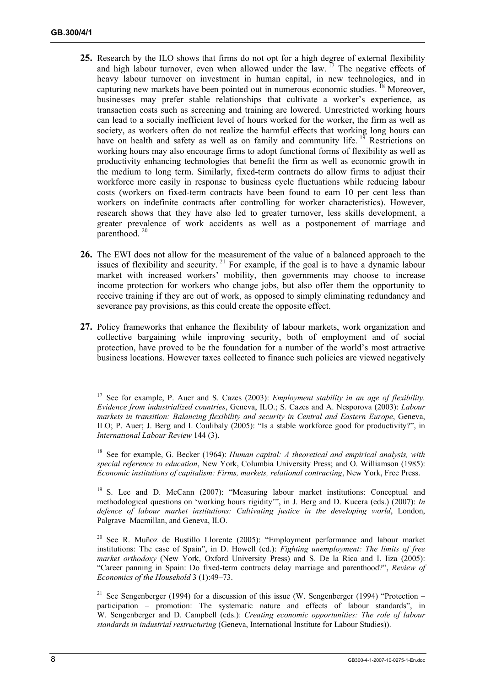- **25.** Research by the ILO shows that firms do not opt for a high degree of external flexibility and high labour turnover, even when allowed under the law.  $\frac{17}{7}$  The negative effects of heavy labour turnover on investment in human capital, in new technologies, and in capturing new markets have been pointed out in numerous economic studies. 18 Moreover, businesses may prefer stable relationships that cultivate a worker's experience, as transaction costs such as screening and training are lowered. Unrestricted working hours can lead to a socially inefficient level of hours worked for the worker, the firm as well as society, as workers often do not realize the harmful effects that working long hours can have on health and safety as well as on family and community life. <sup>19</sup> Restrictions on working hours may also encourage firms to adopt functional forms of flexibility as well as productivity enhancing technologies that benefit the firm as well as economic growth in the medium to long term. Similarly, fixed-term contracts do allow firms to adjust their workforce more easily in response to business cycle fluctuations while reducing labour costs (workers on fixed-term contracts have been found to earn 10 per cent less than workers on indefinite contracts after controlling for worker characteristics). However, research shows that they have also led to greater turnover, less skills development, a greater prevalence of work accidents as well as a postponement of marriage and  $\overline{\text{parenthood}}$ <sup>20</sup>
- **26.** The EWI does not allow for the measurement of the value of a balanced approach to the issues of flexibility and security.  $21$  For example, if the goal is to have a dynamic labour market with increased workers' mobility, then governments may choose to increase income protection for workers who change jobs, but also offer them the opportunity to receive training if they are out of work, as opposed to simply eliminating redundancy and severance pay provisions, as this could create the opposite effect.
- **27.** Policy frameworks that enhance the flexibility of labour markets, work organization and collective bargaining while improving security, both of employment and of social protection, have proved to be the foundation for a number of the world's most attractive business locations. However taxes collected to finance such policies are viewed negatively

18 See for example, G. Becker (1964): *Human capital: A theoretical and empirical analysis, with special reference to education*, New York, Columbia University Press; and O. Williamson (1985): *Economic institutions of capitalism: Firms, markets, relational contracting*, New York, Free Press.

<sup>19</sup> S. Lee and D. McCann (2007): "Measuring labour market institutions: Conceptual and methodological questions on 'working hours rigidity'", in J. Berg and D. Kucera (eds.) (2007): *In defence of labour market institutions: Cultivating justice in the developing world*, London, Palgrave–Macmillan, and Geneva, ILO.

<sup>20</sup> See R. Muñoz de Bustillo Llorente (2005): "Employment performance and labour market institutions: The case of Spain", in D. Howell (ed.): *Fighting unemployment: The limits of free market orthodoxy* (New York, Oxford University Press) and S. De la Rica and I. Iiza (2005): "Career panning in Spain: Do fixed-term contracts delay marriage and parenthood?", *Review of Economics of the Household* 3 (1):49–73.

<sup>21</sup> See Sengenberger (1994) for a discussion of this issue (W. Sengenberger (1994) "Protection – participation – promotion: The systematic nature and effects of labour standards", in W. Sengenberger and D. Campbell (eds.): *Creating economic opportunities: The role of labour standards in industrial restructuring* (Geneva, International Institute for Labour Studies)).

<sup>17</sup> See for example, P. Auer and S. Cazes (2003): *Employment stability in an age of flexibility. Evidence from industrialized countries*, Geneva, ILO.; S. Cazes and A. Nesporova (2003): *Labour markets in transition: Balancing flexibility and security in Central and Eastern Europe*, Geneva, ILO; P. Auer; J. Berg and I. Coulibaly (2005): "Is a stable workforce good for productivity?", in *International Labour Review* 144 (3).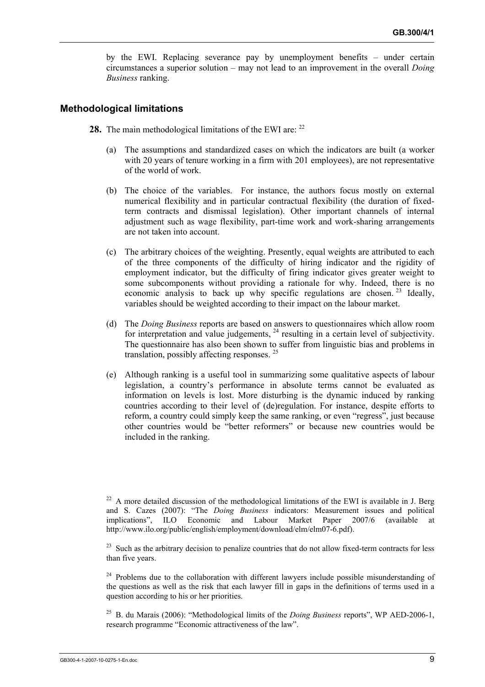by the EWI. Replacing severance pay by unemployment benefits – under certain circumstances a superior solution – may not lead to an improvement in the overall *Doing Business* ranking.

#### **Methodological limitations**

**28.** The main methodological limitations of the EWI are: <sup>22</sup>

- (a) The assumptions and standardized cases on which the indicators are built (a worker with 20 years of tenure working in a firm with 201 employees), are not representative of the world of work.
- (b) The choice of the variables. For instance, the authors focus mostly on external numerical flexibility and in particular contractual flexibility (the duration of fixedterm contracts and dismissal legislation). Other important channels of internal adjustment such as wage flexibility, part-time work and work-sharing arrangements are not taken into account.
- (c) The arbitrary choices of the weighting. Presently, equal weights are attributed to each of the three components of the difficulty of hiring indicator and the rigidity of employment indicator, but the difficulty of firing indicator gives greater weight to some subcomponents without providing a rationale for why. Indeed, there is no economic analysis to back up why specific regulations are chosen.<sup>23</sup> Ideally, variables should be weighted according to their impact on the labour market.
- (d) The *Doing Business* reports are based on answers to questionnaires which allow room for interpretation and value judgements,  $24$  resulting in a certain level of subjectivity. The questionnaire has also been shown to suffer from linguistic bias and problems in translation, possibly affecting responses. 25
- (e) Although ranking is a useful tool in summarizing some qualitative aspects of labour legislation, a country's performance in absolute terms cannot be evaluated as information on levels is lost. More disturbing is the dynamic induced by ranking countries according to their level of (de)regulation. For instance, despite efforts to reform, a country could simply keep the same ranking, or even "regress", just because other countries would be "better reformers" or because new countries would be included in the ranking.

<sup>24</sup> Problems due to the collaboration with different lawyers include possible misunderstanding of the questions as well as the risk that each lawyer fill in gaps in the definitions of terms used in a question according to his or her priorities.

25 B. du Marais (2006): "Methodological limits of the *Doing Business* reports", WP AED-2006-1, research programme "Economic attractiveness of the law".

 $22$  A more detailed discussion of the methodological limitations of the EWI is available in J. Berg and S. Cazes (2007): "The *Doing Business* indicators: Measurement issues and political implications", ILO Economic and Labour Market Paper 2007/6 (available at http://www.ilo.org/public/english/employment/download/elm/elm07-6.pdf).

<sup>&</sup>lt;sup>23</sup> Such as the arbitrary decision to penalize countries that do not allow fixed-term contracts for less than five years.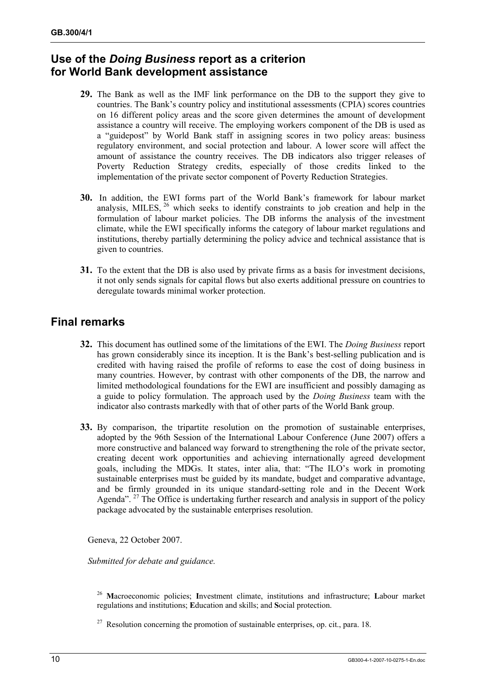### **Use of the** *Doing Business* **report as a criterion for World Bank development assistance**

- **29.** The Bank as well as the IMF link performance on the DB to the support they give to countries. The Bank's country policy and institutional assessments (CPIA) scores countries on 16 different policy areas and the score given determines the amount of development assistance a country will receive. The employing workers component of the DB is used as a "guidepost" by World Bank staff in assigning scores in two policy areas: business regulatory environment, and social protection and labour. A lower score will affect the amount of assistance the country receives. The DB indicators also trigger releases of Poverty Reduction Strategy credits, especially of those credits linked to the implementation of the private sector component of Poverty Reduction Strategies.
- **30.** In addition, the EWI forms part of the World Bank's framework for labour market analysis, MILES,  $^{26}$  which seeks to identify constraints to job creation and help in the formulation of labour market policies. The DB informs the analysis of the investment climate, while the EWI specifically informs the category of labour market regulations and institutions, thereby partially determining the policy advice and technical assistance that is given to countries.
- **31.** To the extent that the DB is also used by private firms as a basis for investment decisions, it not only sends signals for capital flows but also exerts additional pressure on countries to deregulate towards minimal worker protection.

### **Final remarks**

- **32.** This document has outlined some of the limitations of the EWI. The *Doing Business* report has grown considerably since its inception. It is the Bank's best-selling publication and is credited with having raised the profile of reforms to ease the cost of doing business in many countries. However, by contrast with other components of the DB, the narrow and limited methodological foundations for the EWI are insufficient and possibly damaging as a guide to policy formulation. The approach used by the *Doing Business* team with the indicator also contrasts markedly with that of other parts of the World Bank group.
- **33.** By comparison, the tripartite resolution on the promotion of sustainable enterprises, adopted by the 96th Session of the International Labour Conference (June 2007) offers a more constructive and balanced way forward to strengthening the role of the private sector, creating decent work opportunities and achieving internationally agreed development goals, including the MDGs. It states, inter alia, that: "The ILO's work in promoting sustainable enterprises must be guided by its mandate, budget and comparative advantage, and be firmly grounded in its unique standard-setting role and in the Decent Work Agenda". <sup>27</sup> The Office is undertaking further research and analysis in support of the policy package advocated by the sustainable enterprises resolution.

Geneva, 22 October 2007.

*Submitted for debate and guidance.*

<sup>26</sup> **M**acroeconomic policies; **I**nvestment climate, institutions and infrastructure; **L**abour market regulations and institutions; **E**ducation and skills; and **S**ocial protection.

<sup>&</sup>lt;sup>27</sup> Resolution concerning the promotion of sustainable enterprises, op. cit., para. 18.